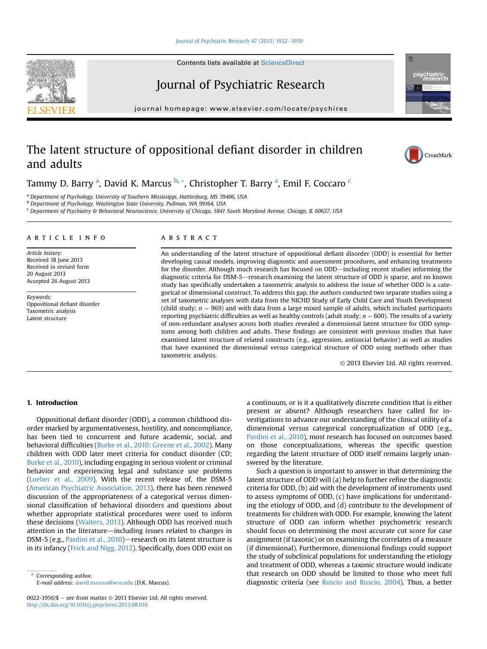#### [Journal of Psychiatric Research 47 \(2013\) 1932](http://dx.doi.org/10.1016/j.jpsychires.2013.08.016)-[1939](http://dx.doi.org/10.1016/j.jpsychires.2013.08.016)

Contents lists available at ScienceDirect

# Journal of Psychiatric Research

 $j<sub>i</sub>$  and the page: where  $i<sub>i</sub>$  is the company companion

# The latent structure of oppositional defiant disorder in children and adults

Tammy D. Barry <sup>a</sup>, David K. Marcus <sup>b, »</sup>, Christopher T. Barry <sup>a</sup>, Emil F. Coccaro <sup>c</sup>

<sup>a</sup> Department of Psychology, University of Southern Mississippi, Hattiesburg, MS 39406, USA

b Department of Psychology, Washington State University, Pullman, WA 99164, USA

<sup>c</sup> Department of Psychiatry & Behavioral Neuroscience, University of Chicago, 5841 South Maryland Avenue, Chicago, IL 60637, USA

#### article info

Article history: Received 18 June 2013 Received in revised form 20 August 2013 Accepted 26 August 2013

Keywords: Oppositional defiant disorder Taxometric analysis Latent structure

#### **ABSTRACT**

An understanding of the latent structure of oppositional defiant disorder (ODD) is essential for better developing causal models, improving diagnostic and assessment procedures, and enhancing treatments for the disorder. Although much research has focused on ODD—including recent studies informing the diagnostic criteria for DSM-5—research examining the latent structure of ODD is sparse, and no known study has specifically undertaken a taxometric analysis to address the issue of whether ODD is a categorical or dimensional construct. To address this gap, the authors conducted two separate studies using a set of taxometric analyses with data from the NICHD Study of Early Child Care and Youth Development (child study;  $n = 969$ ) and with data from a large mixed sample of adults, which included participants reporting psychiatric difficulties as well as healthy controls (adult study;  $n = 600$ ). The results of a variety of non-redundant analyses across both studies revealed a dimensional latent structure for ODD symptoms among both children and adults. These findings are consistent with previous studies that have examined latent structure of related constructs (e.g., aggression, antisocial behavior) as well as studies that have examined the dimensional versus categorical structure of ODD using methods other than taxometric analysis.

2013 Elsevier Ltd. All rights reserved.

## 1. Introduction

Oppositional defiant disorder (ODD), a common childhood disorder marked by argumentativeness, hostility, and noncompliance, has been tied to concurrent and future academic, social, and behavioral difficulties (Burke et al., 2010; Greene et al., 2002). Many children with ODD later meet criteria for conduct disorder (CD; Burke et al., 2010), including engaging in serious violent or criminal behavior and experiencing legal and substance use problems (Loeber et al., 2009). With the recent release of, the DSM-5 (American Psychiatric Association, 2013), there has been renewed discussion of the appropriateness of a categorical versus dimensional classification of behavioral disorders and questions about whether appropriate statistical procedures were used to inform these decisions (Walters, 2013). Although ODD has received much attention in the literature—including issues related to changes in DSM-5 (e.g., Pardini et al., 2010)-research on its latent structure is in its infancy (Frick and Nigg, 2012). Specifically, does ODD exist on

Corresponding author. E-mail address: [david.marcus@wsu.edu](mailto:david.marcus@wsu.edu) (D.K. Marcus). a continuum, or is it a qualitatively discrete condition that is either present or absent? Although researchers have called for investigations to advance our understanding of the clinical utility of a dimensional versus categorical conceptualization of ODD (e.g., Pardini et al., 2010), most research has focused on outcomes based on those conceptualizations, whereas the specific question regarding the latent structure of ODD itself remains largely unanswered by the literature.

Such a question is important to answer in that determining the latent structure of ODD will (a) help to further refine the diagnostic criteria for ODD, (b) aid with the development of instruments used to assess symptoms of ODD, (c) have implications for understanding the etiology of ODD, and (d) contribute to the development of treatments for children with ODD. For example, knowing the latent structure of ODD can inform whether psychometric research should focus on determining the most accurate cut score for case assignment (if taxonic) or on examining the correlates of a measure (if dimensional). Furthermore, dimensional findings could support the study of subclinical populations for understanding the etiology and treatment of ODD, whereas a taxonic structure would indicate that research on ODD should be limited to those who meet full diagnostic criteria (see Ruscio and Ruscio, 2004). Thus, a better







<sup>0022-3956/\$ -</sup> see front matter  $\odot$  2013 Elsevier Ltd. All rights reserved. <http://dx.doi.org/10.1016/j.jpsychires.2013.08.016>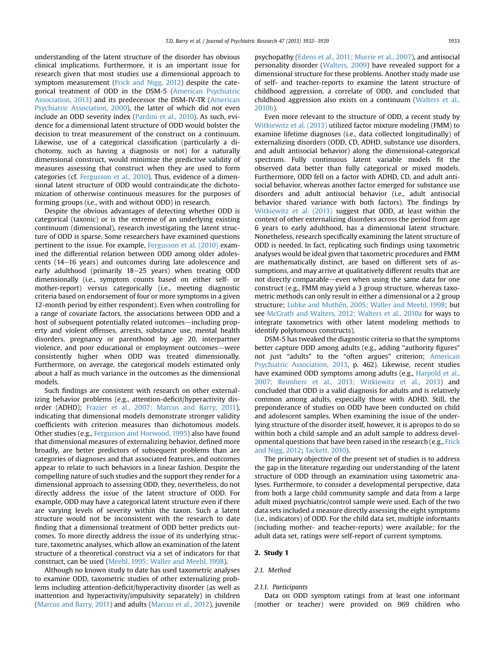understanding of the latent structure of the disorder has obvious clinical implications. Furthermore, it is an important issue for research given that most studies use a dimensional approach to symptom measurement (Frick and Nigg, 2012) despite the categorical treatment of ODD in the DSM-5 (American Psychiatric Association, 2013) and its predecessor the DSM-IV-TR (American Psychiatric Association, 2000), the latter of which did not even include an ODD severity index (Pardini et al., 2010). As such, evidence for a dimensional latent structure of ODD would bolster the decision to treat measurement of the construct on a continuum. Likewise, use of a categorical classification (particularly a dichotomy, such as having a diagnosis or not) for a naturally dimensional construct, would minimize the predictive validity of measures assessing that construct when they are used to form categories (cf. Fergusson et al., 2010). Thus, evidence of a dimensional latent structure of ODD would contraindicate the dichotomization of otherwise continuous measures for the purposes of forming groups (i.e., with and without ODD) in research.

Despite the obvious advantages of detecting whether ODD is categorical (taxonic) or is the extreme of an underlying existing continuum (dimensional), research investigating the latent structure of ODD is sparse. Some researchers have examined questions pertinent to the issue. For example, Fergusson et al. (2010) examined the differential relation between ODD among older adolescents (14-16 years) and outcomes during late adolescence and early adulthood (primarily 18-25 years) when treating ODD dimensionally (i.e., symptom counts based on either self- or mother-report) versus categorically (i.e., meeting diagnostic criteria based on endorsement of four or more symptoms in a given 12-month period by either respondent). Even when controlling for a range of covariate factors, the associations between ODD and a host of subsequent potentially related outcomes—including property and violent offenses, arrests, substance use, mental health disorders, pregnancy or parenthood by age 20, interpartner violence, and poor educational or employment outcomes—were consistently higher when ODD was treated dimensionally. Furthermore, on average, the categorical models estimated only about a half as much variance in the outcomes as the dimensional models.

Such findings are consistent with research on other externalizing behavior problems (e.g., attention-deficit/hyperactivity disorder (ADHD); Frazier et al., 2007; Marcus and Barry, 2011), indicating that dimensional models demonstrate stronger validity coefficients with criterion measures than dichotomous models. Other studies (e.g., Fergusson and Horwood, 1995) also have found that dimensional measures of externalizing behavior, defined more broadly, are better predictors of subsequent problems than are categories of diagnoses and that associated features, and outcomes appear to relate to such behaviors in a linear fashion. Despite the compelling nature of such studies and the support they render for a dimensional approach to assessing ODD, they, nevertheless, do not directly address the issue of the latent structure of ODD. For example, ODD may have a categorical latent structure even if there are varying levels of severity within the taxon. Such a latent structure would not be inconsistent with the research to date finding that a dimensional treatment of ODD better predicts outcomes. To more directly address the issue of its underlying structure, taxometric analyses, which allow an examination of the latent structure of a theoretical construct via a set of indicators for that construct, can be used (Meehl, 1995; Waller and Meehl, 1998).

Although no known study to date has used taxometric analyses to examine ODD, taxometric studies of other externalizing problems including attention-deficit/hyperactivity disorder (as well as inattention and hyperactivity/impulsivity separately) in children (Marcus and Barry, 2011) and adults (Marcus et al., 2012), juvenile psychopathy (Edens et al., 2011; Murrie et al., 2007), and antisocial personality disorder (Walters, 2009) have revealed support for a dimensional structure for these problems. Another study made use of self- and teacher-reports to examine the latent structure of childhood aggression, a correlate of ODD, and concluded that childhood aggression also exists on a continuum (Walters et al., 2010b).

Even more relevant to the structure of ODD, a recent study by Witkiewitz et al. (2013) utilized factor mixture modeling (FMM) to examine lifetime diagnoses (i.e., data collected longitudinally) of externalizing disorders (ODD, CD, ADHD, substance use disorders, and adult antisocial behavior) along the dimensional-categorical spectrum. Fully continuous latent variable models fit the observed data better than fully categorical or mixed models. Furthermore, ODD fell on a factor with ADHD, CD, and adult antisocial behavior, whereas another factor emerged for substance use disorders and adult antisocial behavior (i.e., adult antisocial behavior shared variance with both factors). The findings by Witkiewitz et al. (2013) suggest that ODD, at least within the context of other externalizing disorders across the period from age 6 years to early adulthood, has a dimensional latent structure. Nonetheless, research specifically examining the latent structure of ODD is needed. In fact, replicating such findings using taxometric analyses would be ideal given that taxometric procedures and FMM are mathematically distinct, are based on different sets of assumptions, and may arrive at qualitatively different results that are not directly comparable—even when using the same data for one construct (e.g., FMM may yield a 3 group structure, whereas taxometric methods can only result in either a dimensional or a 2 group structure; Lubke and Muthén, 2005; Waller and Meehl, 1998; but see McGrath and Walters, 2012; Walters et al., 2010a for ways to integrate taxometrics with other latent modeling methods to identify polytomous constructs).

DSM-5 has tweaked the diagnostic criteria so that the symptoms better capture ODD among adults (e.g., adding "authority figures" not just "adults" to the "often argues" criterion; American Psychiatric Association, 2013, p. 462). Likewise, recent studies have examined ODD symptoms among adults (e.g., Harpold et al., 2007; Reimherr et al., 2013; Witkiewitz et al., 2013) and concluded that ODD is a valid diagnosis for adults and is relatively common among adults, especially those with ADHD. Still, the preponderance of studies on ODD have been conducted on child and adolescent samples. When examining the issue of the underlying structure of the disorder itself, however, it is apropos to do so within both a child sample and an adult sample to address developmental questions that have been raised in the research (e.g., Frick and Nigg, 2012; Tackett, 2010).

The primary objective of the present set of studies is to address the gap in the literature regarding our understanding of the latent structure of ODD through an examination using taxometric analyses. Furthermore, to consider a developmental perspective, data from both a large child community sample and data from a large adult mixed psychiatric/control sample were used. Each of the two data sets included a measure directly assessing the eight symptoms (i.e., indicators) of ODD. For the child data set, multiple informants (including mother- and teacher-reports) were available; for the adult data set, ratings were self-report of current symptoms.

#### 2. Study 1

## 2.1. Method

## 2.1.1. Participants

Data on ODD symptom ratings from at least one informant (mother or teacher) were provided on 969 children who